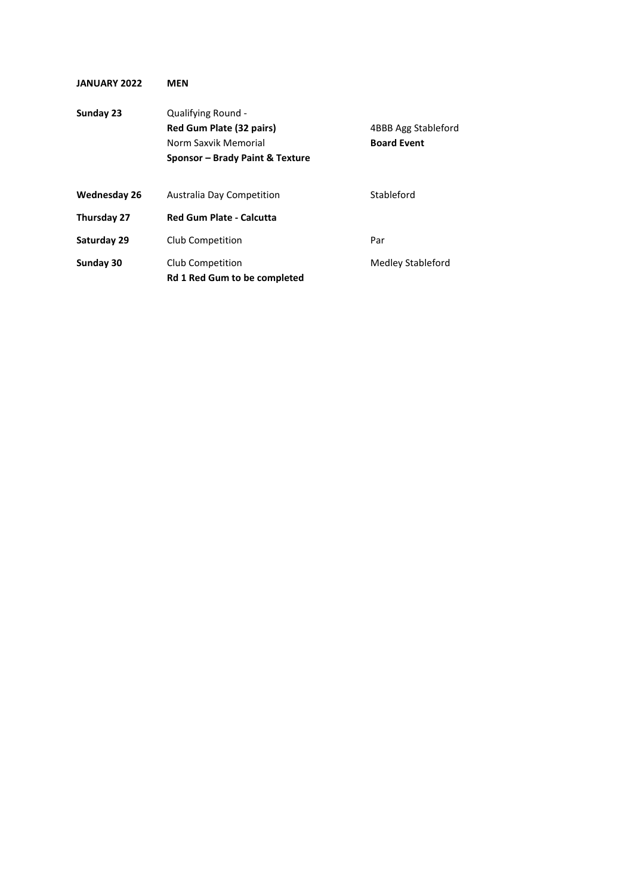| <b>JANUARY 2022</b> | MEN                                                                                                       |                                           |
|---------------------|-----------------------------------------------------------------------------------------------------------|-------------------------------------------|
| Sunday 23           | Qualifying Round -<br>Red Gum Plate (32 pairs)<br>Norm Saxvik Memorial<br>Sponsor – Brady Paint & Texture | 4BBB Agg Stableford<br><b>Board Event</b> |
| <b>Wednesday 26</b> | Australia Day Competition                                                                                 | Stableford                                |
| Thursday 27         | <b>Red Gum Plate - Calcutta</b>                                                                           |                                           |
| Saturday 29         | Club Competition                                                                                          | Par                                       |
| Sunday 30           | Club Competition<br><b>Rd 1 Red Gum to be completed</b>                                                   | Medley Stableford                         |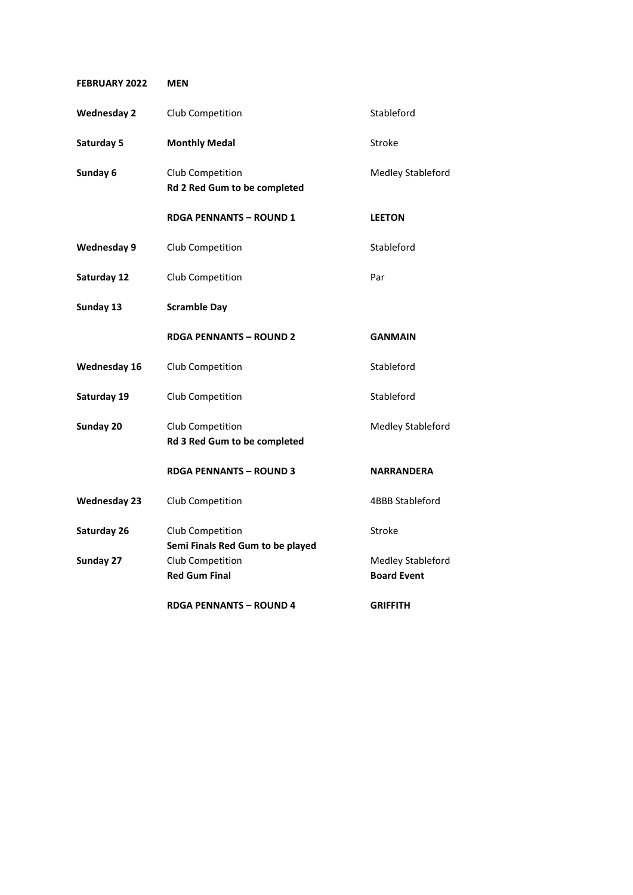| <b>FEBRUARY 2022</b> | <b>MEN</b>                                           |                          |
|----------------------|------------------------------------------------------|--------------------------|
| <b>Wednesday 2</b>   | Club Competition                                     | Stableford               |
| Saturday 5           | <b>Monthly Medal</b>                                 | <b>Stroke</b>            |
| Sunday 6             | Club Competition<br>Rd 2 Red Gum to be completed     | Medley Stableford        |
|                      | <b>RDGA PENNANTS - ROUND 1</b>                       | <b>LEETON</b>            |
| <b>Wednesday 9</b>   | Club Competition                                     | Stableford               |
| Saturday 12          | Club Competition                                     | Par                      |
| Sunday 13            | <b>Scramble Day</b>                                  |                          |
|                      | <b>RDGA PENNANTS - ROUND 2</b>                       | <b>GANMAIN</b>           |
| <b>Wednesday 16</b>  | Club Competition                                     | Stableford               |
| Saturday 19          | Club Competition                                     | Stableford               |
| Sunday 20            | Club Competition<br>Rd 3 Red Gum to be completed     | Medley Stableford        |
|                      | <b>RDGA PENNANTS - ROUND 3</b>                       | <b>NARRANDERA</b>        |
| <b>Wednesday 23</b>  | Club Competition                                     | <b>4BBB Stableford</b>   |
| Saturday 26          | Club Competition<br>Semi Finals Red Gum to be played | Stroke                   |
| Sunday 27            | Club Competition                                     | <b>Medley Stableford</b> |
|                      | <b>Red Gum Final</b>                                 | <b>Board Event</b>       |
|                      | <b>RDGA PENNANTS - ROUND 4</b>                       | <b>GRIFFITH</b>          |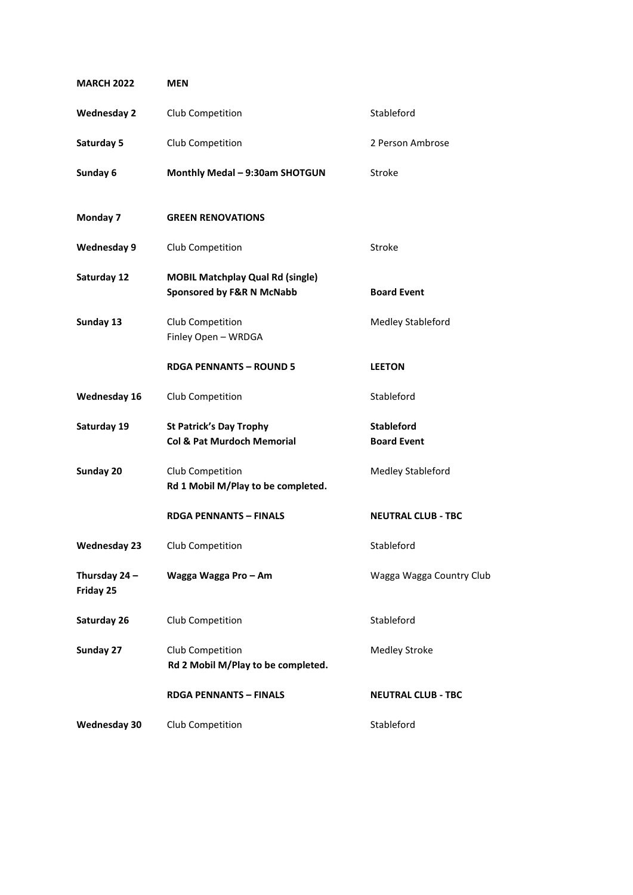| <b>MARCH 2022</b>          | <b>MEN</b>                                                                      |                                         |
|----------------------------|---------------------------------------------------------------------------------|-----------------------------------------|
| <b>Wednesday 2</b>         | Club Competition                                                                | Stableford                              |
| Saturday 5                 | Club Competition                                                                | 2 Person Ambrose                        |
| Sunday 6                   | Monthly Medal - 9:30am SHOTGUN                                                  | Stroke                                  |
| Monday 7                   | <b>GREEN RENOVATIONS</b>                                                        |                                         |
| Wednesday 9                | Club Competition                                                                | Stroke                                  |
| Saturday 12                | <b>MOBIL Matchplay Qual Rd (single)</b><br><b>Sponsored by F&amp;R N McNabb</b> | <b>Board Event</b>                      |
| Sunday 13                  | Club Competition<br>Finley Open - WRDGA                                         | <b>Medley Stableford</b>                |
|                            | <b>RDGA PENNANTS - ROUND 5</b>                                                  | <b>LEETON</b>                           |
| Wednesday 16               | Club Competition                                                                | Stableford                              |
| Saturday 19                | <b>St Patrick's Day Trophy</b><br><b>Col &amp; Pat Murdoch Memorial</b>         | <b>Stableford</b><br><b>Board Event</b> |
| Sunday 20                  | Club Competition<br>Rd 1 Mobil M/Play to be completed.                          | Medley Stableford                       |
|                            | <b>RDGA PENNANTS - FINALS</b>                                                   | <b>NEUTRAL CLUB - TBC</b>               |
| Wednesday 23               | Club Competition                                                                | Stableford                              |
| Thursday 24 -<br>Friday 25 | Wagga Wagga Pro - Am                                                            | Wagga Wagga Country Club                |
| Saturday 26                | Club Competition                                                                | Stableford                              |
| Sunday 27                  | Club Competition<br>Rd 2 Mobil M/Play to be completed.                          | <b>Medley Stroke</b>                    |
|                            | <b>RDGA PENNANTS - FINALS</b>                                                   | <b>NEUTRAL CLUB - TBC</b>               |
| Wednesday 30               | Club Competition                                                                | Stableford                              |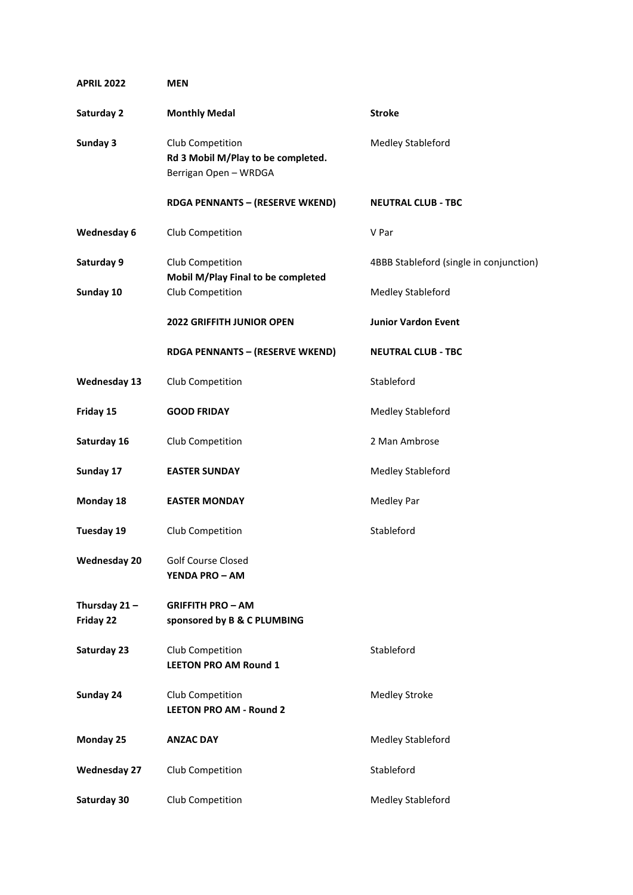| <b>APRIL 2022</b>            | <b>MEN</b>                                                                      |                                         |
|------------------------------|---------------------------------------------------------------------------------|-----------------------------------------|
| Saturday 2                   | <b>Monthly Medal</b>                                                            | <b>Stroke</b>                           |
| Sunday 3                     | Club Competition<br>Rd 3 Mobil M/Play to be completed.<br>Berrigan Open - WRDGA | <b>Medley Stableford</b>                |
|                              | <b>RDGA PENNANTS - (RESERVE WKEND)</b>                                          | <b>NEUTRAL CLUB - TBC</b>               |
| Wednesday 6                  | Club Competition                                                                | V Par                                   |
| Saturday 9                   | Club Competition<br>Mobil M/Play Final to be completed                          | 4BBB Stableford (single in conjunction) |
| Sunday 10                    | Club Competition                                                                | <b>Medley Stableford</b>                |
|                              | <b>2022 GRIFFITH JUNIOR OPEN</b>                                                | <b>Junior Vardon Event</b>              |
|                              | <b>RDGA PENNANTS - (RESERVE WKEND)</b>                                          | <b>NEUTRAL CLUB - TBC</b>               |
| <b>Wednesday 13</b>          | Club Competition                                                                | Stableford                              |
| Friday 15                    | <b>GOOD FRIDAY</b>                                                              | <b>Medley Stableford</b>                |
| Saturday 16                  | Club Competition                                                                | 2 Man Ambrose                           |
| Sunday 17                    | <b>EASTER SUNDAY</b>                                                            | Medley Stableford                       |
| Monday 18                    | <b>EASTER MONDAY</b>                                                            | <b>Medley Par</b>                       |
| Tuesday 19                   | Club Competition                                                                | Stableford                              |
| <b>Wednesday 20</b>          | Golf Course Closed<br><b>YENDA PRO - AM</b>                                     |                                         |
| Thursday $21 -$<br>Friday 22 | <b>GRIFFITH PRO - AM</b><br>sponsored by B & C PLUMBING                         |                                         |
| Saturday 23                  | Club Competition<br><b>LEETON PRO AM Round 1</b>                                | Stableford                              |
| Sunday 24                    | Club Competition<br><b>LEETON PRO AM - Round 2</b>                              | <b>Medley Stroke</b>                    |
| Monday 25                    | <b>ANZAC DAY</b>                                                                | Medley Stableford                       |
| <b>Wednesday 27</b>          | Club Competition                                                                | Stableford                              |
| Saturday 30                  | Club Competition                                                                | Medley Stableford                       |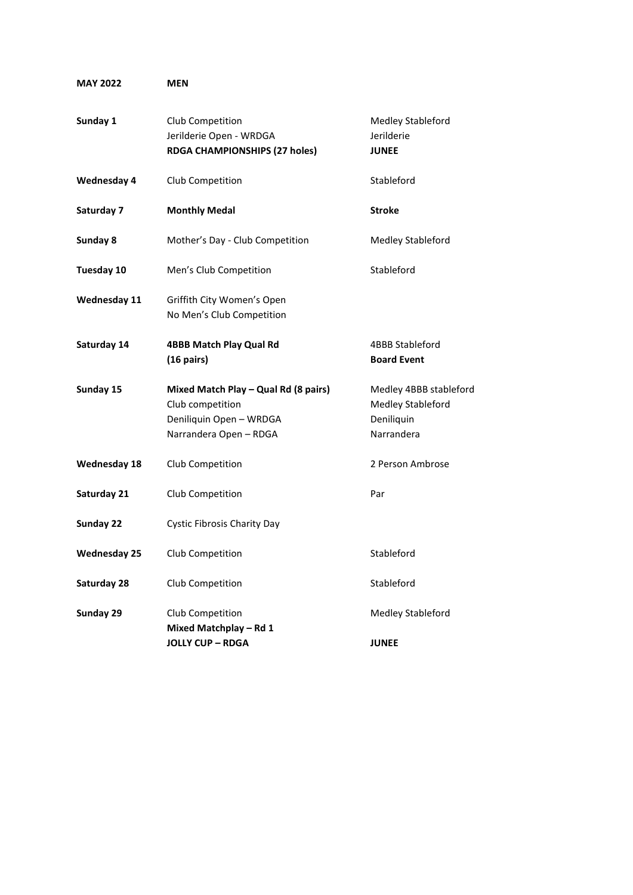| Sunday 1            | Club Competition<br>Jerilderie Open - WRDGA                                                                   | Medley Stableford<br>Jerilderie                                                |
|---------------------|---------------------------------------------------------------------------------------------------------------|--------------------------------------------------------------------------------|
|                     | RDGA CHAMPIONSHIPS (27 holes)                                                                                 | <b>JUNEE</b>                                                                   |
| <b>Wednesday 4</b>  | Club Competition                                                                                              | Stableford                                                                     |
| Saturday 7          | <b>Monthly Medal</b>                                                                                          | <b>Stroke</b>                                                                  |
| Sunday 8            | Mother's Day - Club Competition                                                                               | Medley Stableford                                                              |
| <b>Tuesday 10</b>   | Men's Club Competition                                                                                        | Stableford                                                                     |
| <b>Wednesday 11</b> | Griffith City Women's Open<br>No Men's Club Competition                                                       |                                                                                |
| Saturday 14         | <b>4BBB Match Play Qual Rd</b><br>$(16 \text{ pairs})$                                                        | 4BBB Stableford<br><b>Board Event</b>                                          |
| Sunday 15           | Mixed Match Play - Qual Rd (8 pairs)<br>Club competition<br>Deniliquin Open - WRDGA<br>Narrandera Open - RDGA | Medley 4BBB stableford<br><b>Medley Stableford</b><br>Deniliquin<br>Narrandera |
| <b>Wednesday 18</b> | Club Competition                                                                                              | 2 Person Ambrose                                                               |
| Saturday 21         | Club Competition                                                                                              | Par                                                                            |
| Sunday 22           | <b>Cystic Fibrosis Charity Day</b>                                                                            |                                                                                |
| <b>Wednesday 25</b> | Club Competition                                                                                              | Stableford                                                                     |
| Saturday 28         | Club Competition                                                                                              | Stableford                                                                     |
| Sunday 29           | Club Competition<br>Mixed Matchplay - Rd 1<br><b>JOLLY CUP - RDGA</b>                                         | Medley Stableford<br><b>JUNEE</b>                                              |
|                     |                                                                                                               |                                                                                |

**MAY 2022 MEN**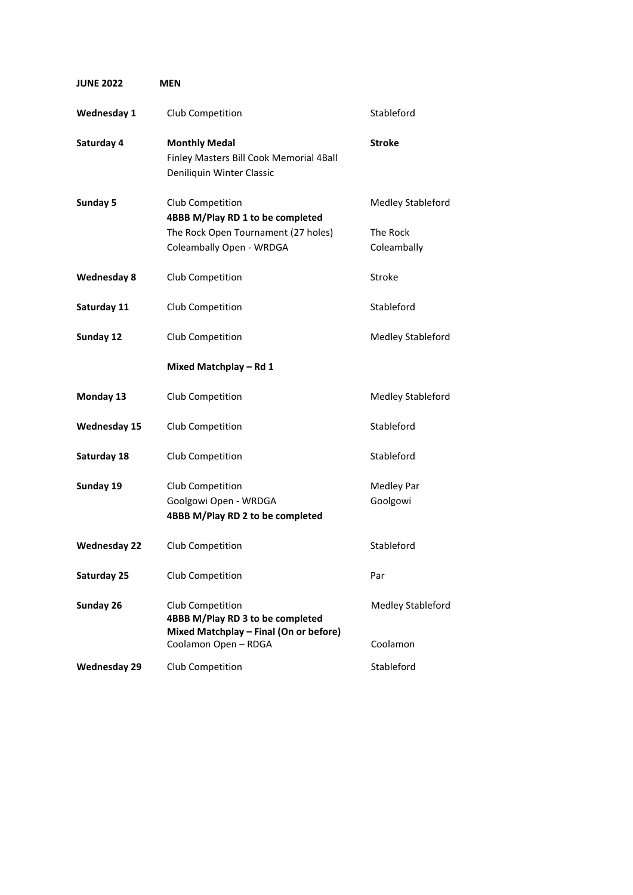| <b>JUNE 2022</b> | MEN                                                                                                                     |                                              |
|------------------|-------------------------------------------------------------------------------------------------------------------------|----------------------------------------------|
| Wednesday 1      | Club Competition                                                                                                        | Stableford                                   |
| Saturday 4       | <b>Monthly Medal</b><br>Finley Masters Bill Cook Memorial 4Ball<br>Deniliquin Winter Classic                            | <b>Stroke</b>                                |
| Sunday 5         | Club Competition<br>4BBB M/Play RD 1 to be completed<br>The Rock Open Tournament (27 holes)<br>Coleambally Open - WRDGA | Medley Stableford<br>The Rock<br>Coleambally |
| Wednesday 8      | Club Competition                                                                                                        | Stroke                                       |
| Saturday 11      | Club Competition                                                                                                        | Stableford                                   |
| Sunday 12        | Club Competition                                                                                                        | <b>Medley Stableford</b>                     |
|                  | Mixed Matchplay - Rd 1                                                                                                  |                                              |
| Monday 13        | Club Competition                                                                                                        | Medley Stableford                            |
| Wednesday 15     | Club Competition                                                                                                        | Stableford                                   |
| Saturday 18      | Club Competition                                                                                                        | Stableford                                   |
| Sunday 19        | Club Competition<br>Goolgowi Open - WRDGA<br>4BBB M/Play RD 2 to be completed                                           | Medley Par<br>Goolgowi                       |
| Wednesday 22     | Club Competition                                                                                                        | Stableford                                   |
| Saturday 25      | Club Competition                                                                                                        | Par                                          |
| Sunday 26        | Club Competition<br>4BBB M/Play RD 3 to be completed<br>Mixed Matchplay - Final (On or before)<br>Coolamon Open - RDGA  | <b>Medley Stableford</b><br>Coolamon         |
| Wednesday 29     | Club Competition                                                                                                        | Stableford                                   |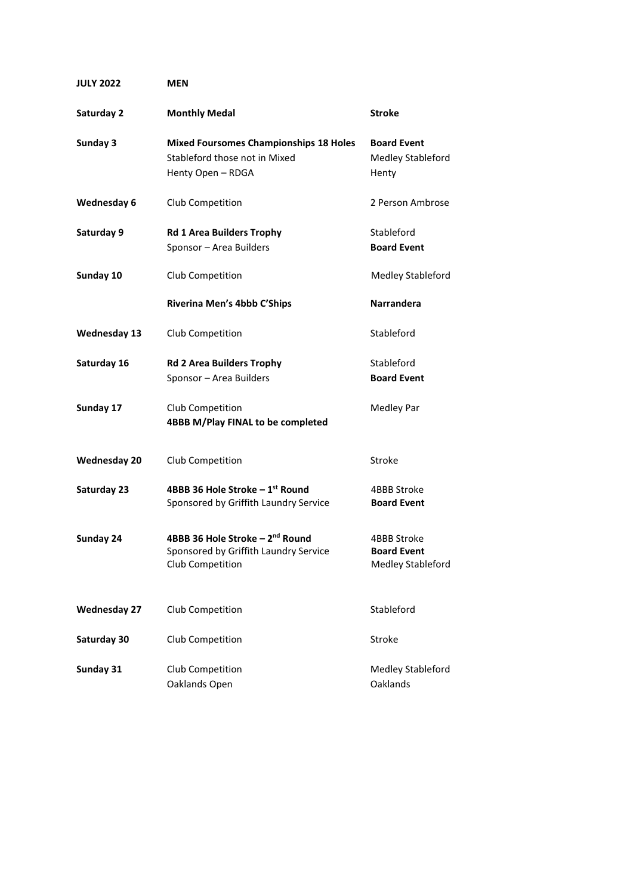| <b>JULY 2022</b>    | MEN                                                                                                      |                                                        |
|---------------------|----------------------------------------------------------------------------------------------------------|--------------------------------------------------------|
| Saturday 2          | <b>Monthly Medal</b>                                                                                     | <b>Stroke</b>                                          |
| Sunday 3            | <b>Mixed Foursomes Championships 18 Holes</b><br>Stableford those not in Mixed<br>Henty Open - RDGA      | <b>Board Event</b><br>Medley Stableford<br>Henty       |
| Wednesday 6         | Club Competition                                                                                         | 2 Person Ambrose                                       |
| Saturday 9          | <b>Rd 1 Area Builders Trophy</b><br>Sponsor - Area Builders                                              | Stableford<br><b>Board Event</b>                       |
| Sunday 10           | Club Competition                                                                                         | <b>Medley Stableford</b>                               |
|                     | Riverina Men's 4bbb C'Ships                                                                              | Narrandera                                             |
| Wednesday 13        | Club Competition                                                                                         | Stableford                                             |
| Saturday 16         | <b>Rd 2 Area Builders Trophy</b><br>Sponsor - Area Builders                                              | Stableford<br><b>Board Event</b>                       |
| Sunday 17           | Club Competition<br>4BBB M/Play FINAL to be completed                                                    | Medley Par                                             |
| Wednesday 20        | Club Competition                                                                                         | Stroke                                                 |
| Saturday 23         | 4BBB 36 Hole Stroke - 1st Round<br>Sponsored by Griffith Laundry Service                                 | 4BBB Stroke<br><b>Board Event</b>                      |
| Sunday 24           | 4BBB 36 Hole Stroke - 2 <sup>nd</sup> Round<br>Sponsored by Griffith Laundry Service<br>Club Competition | 4BBB Stroke<br><b>Board Event</b><br>Medley Stableford |
| <b>Wednesday 27</b> | Club Competition                                                                                         | Stableford                                             |
| Saturday 30         | Club Competition                                                                                         | Stroke                                                 |
| Sunday 31           | Club Competition<br>Oaklands Open                                                                        | Medley Stableford<br><b>Oaklands</b>                   |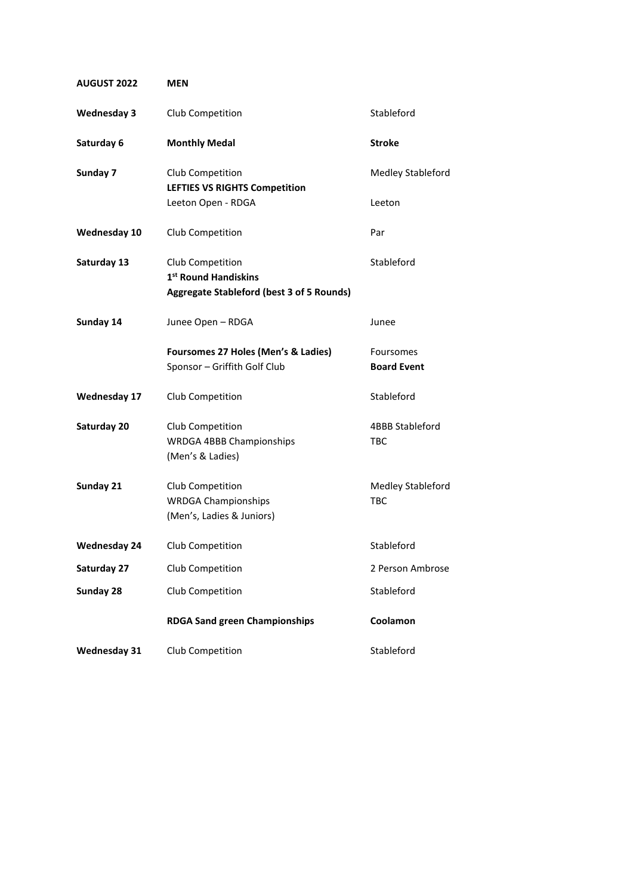| <b>AUGUST 2022</b>  | <b>MEN</b>                                                                  |                                 |
|---------------------|-----------------------------------------------------------------------------|---------------------------------|
| <b>Wednesday 3</b>  | Club Competition                                                            | Stableford                      |
| Saturday 6          | <b>Monthly Medal</b>                                                        | <b>Stroke</b>                   |
| Sunday 7            | Club Competition                                                            | <b>Medley Stableford</b>        |
|                     | <b>LEFTIES VS RIGHTS Competition</b><br>Leeton Open - RDGA                  | Leeton                          |
| <b>Wednesday 10</b> | Club Competition                                                            | Par                             |
| Saturday 13         | Club Competition<br>1st Round Handiskins                                    | Stableford                      |
|                     | Aggregate Stableford (best 3 of 5 Rounds)                                   |                                 |
| Sunday 14           | Junee Open - RDGA                                                           | Junee                           |
|                     | Foursomes 27 Holes (Men's & Ladies)<br>Sponsor - Griffith Golf Club         | Foursomes<br><b>Board Event</b> |
| <b>Wednesday 17</b> | Club Competition                                                            | Stableford                      |
| Saturday 20         | Club Competition<br><b>WRDGA 4BBB Championships</b><br>(Men's & Ladies)     | <b>4BBB Stableford</b><br>TBC   |
| Sunday 21           | Club Competition<br><b>WRDGA Championships</b><br>(Men's, Ladies & Juniors) | Medley Stableford<br><b>TBC</b> |
| <b>Wednesday 24</b> | Club Competition                                                            | Stableford                      |
| Saturday 27         | Club Competition                                                            | 2 Person Ambrose                |
| Sunday 28           | Club Competition                                                            | Stableford                      |
|                     | <b>RDGA Sand green Championships</b>                                        | Coolamon                        |
| <b>Wednesday 31</b> | Club Competition                                                            | Stableford                      |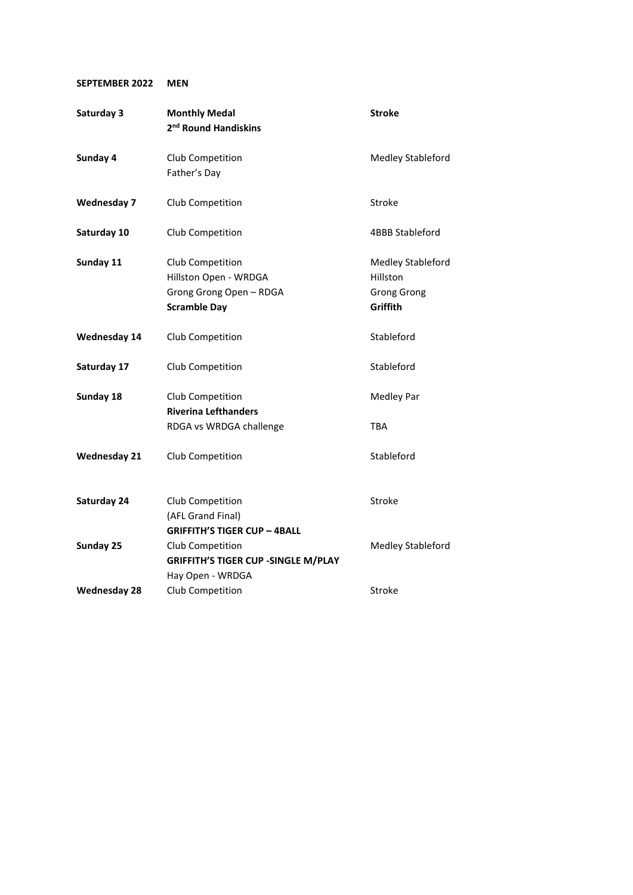## **SEPTEMBER 2022 MEN**

| Saturday 3          | <b>Monthly Medal</b><br>2 <sup>nd</sup> Round Handiskins                                    | <b>Stroke</b>                                                   |
|---------------------|---------------------------------------------------------------------------------------------|-----------------------------------------------------------------|
| Sunday 4            | Club Competition<br>Father's Day                                                            | Medley Stableford                                               |
| <b>Wednesday 7</b>  | Club Competition                                                                            | <b>Stroke</b>                                                   |
| Saturday 10         | Club Competition                                                                            | 4BBB Stableford                                                 |
| Sunday 11           | Club Competition<br>Hillston Open - WRDGA<br>Grong Grong Open - RDGA<br><b>Scramble Day</b> | Medley Stableford<br>Hillston<br><b>Grong Grong</b><br>Griffith |
| <b>Wednesday 14</b> | Club Competition                                                                            | Stableford                                                      |
| Saturday 17         | Club Competition                                                                            | Stableford                                                      |
| Sunday 18           | Club Competition<br><b>Riverina Lefthanders</b><br>RDGA vs WRDGA challenge                  | <b>Medley Par</b><br><b>TBA</b>                                 |
| <b>Wednesday 21</b> | Club Competition                                                                            | Stableford                                                      |
| Saturday 24         | Club Competition<br>(AFL Grand Final)<br><b>GRIFFITH'S TIGER CUP - 4BALL</b>                | Stroke                                                          |
| Sunday 25           | Club Competition<br><b>GRIFFITH'S TIGER CUP - SINGLE M/PLAY</b><br>Hay Open - WRDGA         | Medley Stableford                                               |
| <b>Wednesday 28</b> | Club Competition                                                                            | Stroke                                                          |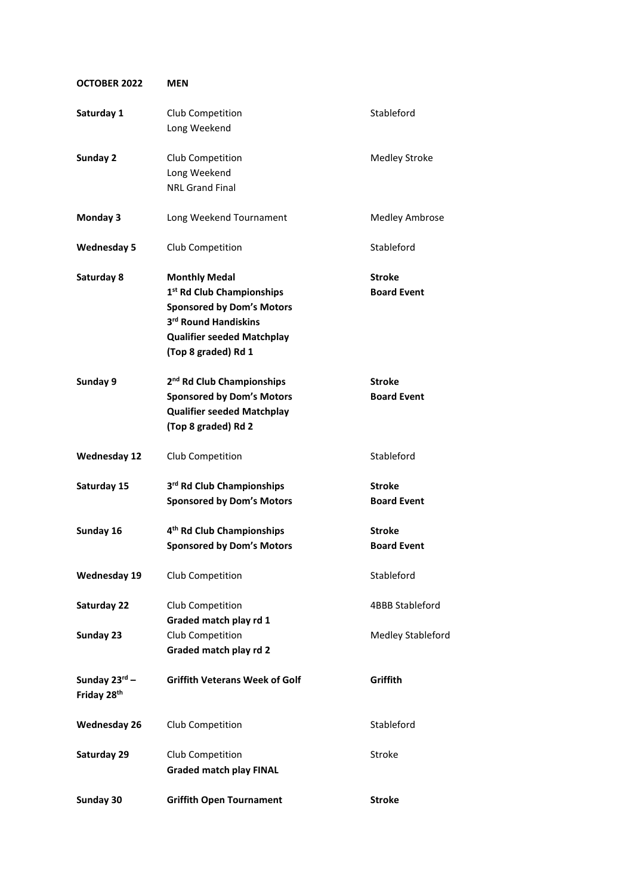| <b>OCTOBER 2022</b>                                  | <b>MEN</b>                                                                                                                                                                            |                                     |
|------------------------------------------------------|---------------------------------------------------------------------------------------------------------------------------------------------------------------------------------------|-------------------------------------|
| Saturday 1                                           | Club Competition<br>Long Weekend                                                                                                                                                      | Stableford                          |
| Sunday 2                                             | Club Competition<br>Long Weekend<br><b>NRL Grand Final</b>                                                                                                                            | <b>Medley Stroke</b>                |
| <b>Monday 3</b>                                      | Long Weekend Tournament                                                                                                                                                               | <b>Medley Ambrose</b>               |
| <b>Wednesday 5</b>                                   | Club Competition                                                                                                                                                                      | Stableford                          |
| Saturday 8                                           | <b>Monthly Medal</b><br>1 <sup>st</sup> Rd Club Championships<br><b>Sponsored by Dom's Motors</b><br>3rd Round Handiskins<br><b>Qualifier seeded Matchplay</b><br>(Top 8 graded) Rd 1 | <b>Stroke</b><br><b>Board Event</b> |
| Sunday 9                                             | 2 <sup>nd</sup> Rd Club Championships<br><b>Sponsored by Dom's Motors</b><br><b>Qualifier seeded Matchplay</b><br>(Top 8 graded) Rd 2                                                 | <b>Stroke</b><br><b>Board Event</b> |
| <b>Wednesday 12</b>                                  | Club Competition                                                                                                                                                                      | Stableford                          |
| Saturday 15                                          | 3rd Rd Club Championships<br><b>Sponsored by Dom's Motors</b>                                                                                                                         | <b>Stroke</b><br><b>Board Event</b> |
| Sunday 16                                            | 4 <sup>th</sup> Rd Club Championships<br><b>Sponsored by Dom's Motors</b>                                                                                                             | <b>Stroke</b><br><b>Board Event</b> |
| <b>Wednesday 19</b>                                  | Club Competition                                                                                                                                                                      | Stableford                          |
| Saturday 22                                          | Club Competition<br>Graded match play rd 1                                                                                                                                            | <b>4BBB Stableford</b>              |
| Sunday 23                                            | Club Competition<br>Graded match play rd 2                                                                                                                                            | <b>Medley Stableford</b>            |
| Sunday $23^{\text{rd}}$ –<br>Friday 28 <sup>th</sup> | <b>Griffith Veterans Week of Golf</b>                                                                                                                                                 | Griffith                            |
| <b>Wednesday 26</b>                                  | Club Competition                                                                                                                                                                      | Stableford                          |
| Saturday 29                                          | Club Competition<br><b>Graded match play FINAL</b>                                                                                                                                    | Stroke                              |
| Sunday 30                                            | <b>Griffith Open Tournament</b>                                                                                                                                                       | <b>Stroke</b>                       |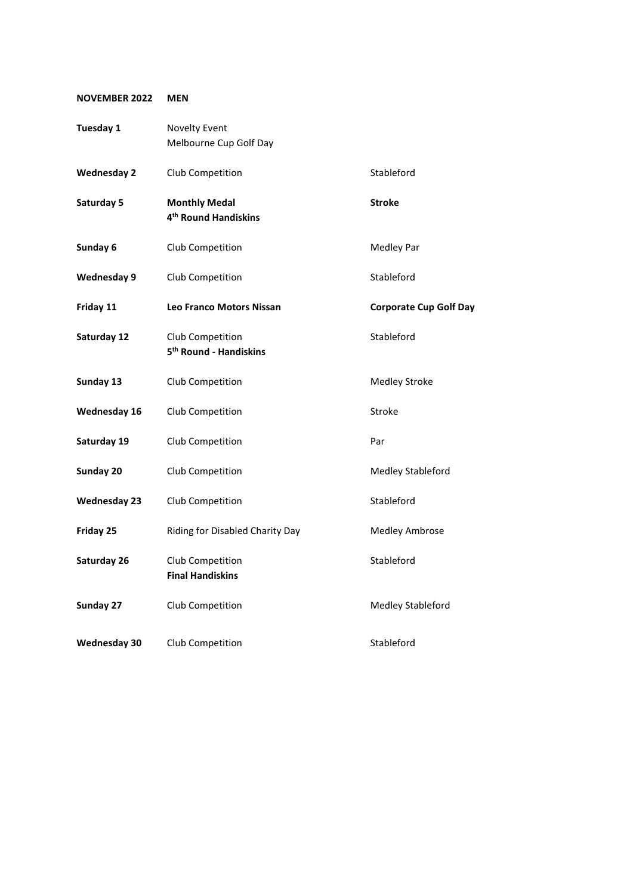## **NOVEMBER 2022 MEN**

| Tuesday 1           | <b>Novelty Event</b>                                     |                               |
|---------------------|----------------------------------------------------------|-------------------------------|
|                     | Melbourne Cup Golf Day                                   |                               |
| <b>Wednesday 2</b>  | Club Competition                                         | Stableford                    |
| Saturday 5          | <b>Monthly Medal</b><br>4 <sup>th</sup> Round Handiskins | <b>Stroke</b>                 |
| Sunday 6            | Club Competition                                         | Medley Par                    |
| <b>Wednesday 9</b>  | Club Competition                                         | Stableford                    |
| Friday 11           | <b>Leo Franco Motors Nissan</b>                          | <b>Corporate Cup Golf Day</b> |
| Saturday 12         | Club Competition<br>5 <sup>th</sup> Round - Handiskins   | Stableford                    |
| Sunday 13           | Club Competition                                         | <b>Medley Stroke</b>          |
| <b>Wednesday 16</b> | Club Competition                                         | <b>Stroke</b>                 |
| Saturday 19         | Club Competition                                         | Par                           |
| Sunday 20           | Club Competition                                         | Medley Stableford             |
| <b>Wednesday 23</b> | Club Competition                                         | Stableford                    |
| Friday 25           | Riding for Disabled Charity Day                          | <b>Medley Ambrose</b>         |
| Saturday 26         | Club Competition<br><b>Final Handiskins</b>              | Stableford                    |
| Sunday 27           | Club Competition                                         | <b>Medley Stableford</b>      |
| <b>Wednesday 30</b> | Club Competition                                         | Stableford                    |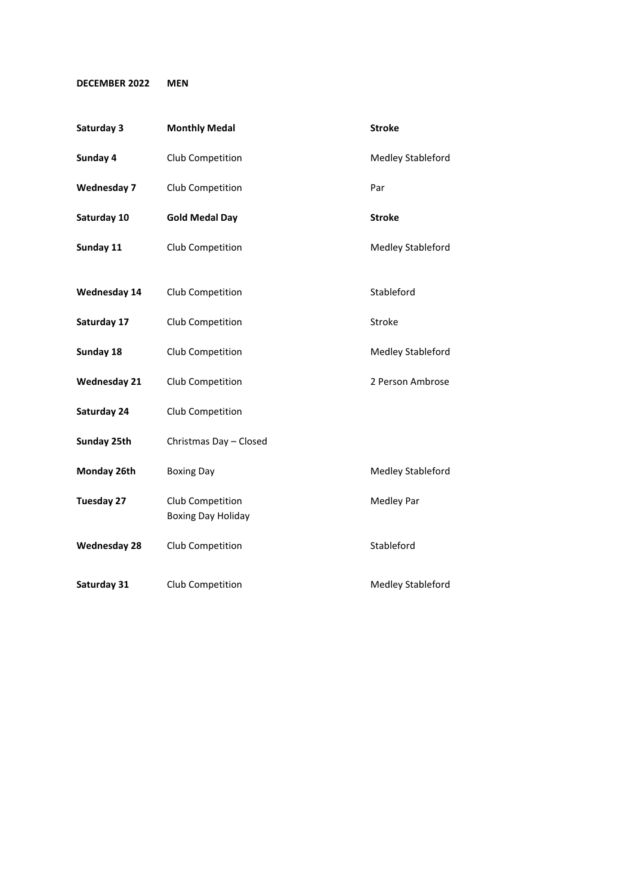## **DECEMBER 2022 MEN**

| Saturday 3          | <b>Monthly Medal</b>                          | <b>Stroke</b>     |
|---------------------|-----------------------------------------------|-------------------|
| Sunday 4            | Club Competition                              | Medley Stableford |
| <b>Wednesday 7</b>  | Club Competition                              | Par               |
| Saturday 10         | <b>Gold Medal Day</b>                         | <b>Stroke</b>     |
| Sunday 11           | Club Competition                              | Medley Stableford |
| <b>Wednesday 14</b> | Club Competition                              | Stableford        |
| Saturday 17         | Club Competition                              | Stroke            |
| Sunday 18           | Club Competition                              | Medley Stableford |
| <b>Wednesday 21</b> | Club Competition                              | 2 Person Ambrose  |
| Saturday 24         | Club Competition                              |                   |
| Sunday 25th         | Christmas Day - Closed                        |                   |
| Monday 26th         | <b>Boxing Day</b>                             | Medley Stableford |
| <b>Tuesday 27</b>   | Club Competition<br><b>Boxing Day Holiday</b> | <b>Medley Par</b> |
| <b>Wednesday 28</b> | Club Competition                              | Stableford        |
| Saturday 31         | Club Competition                              | Medley Stableford |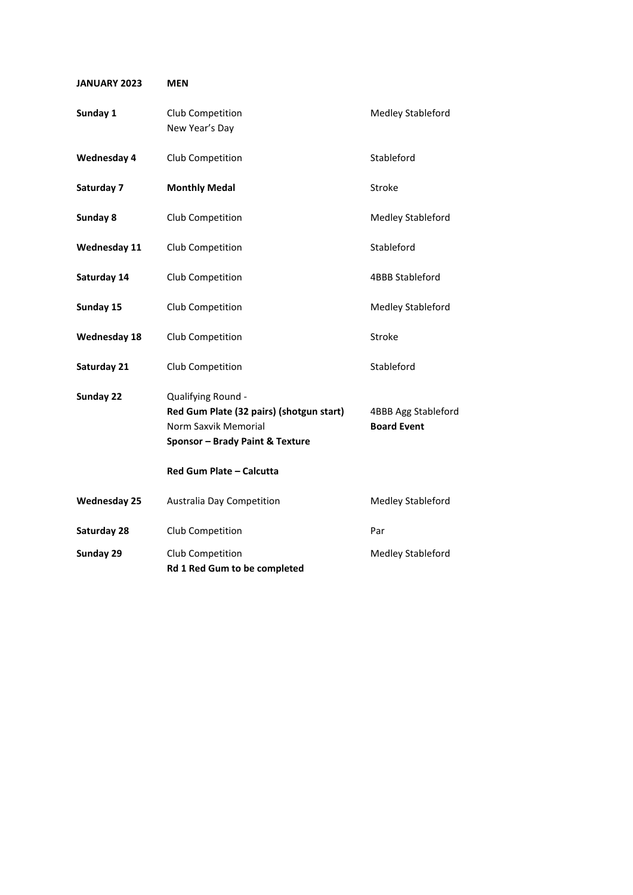| <b>JANUARY 2023</b> | <b>MEN</b>                                                                                                                |                                           |
|---------------------|---------------------------------------------------------------------------------------------------------------------------|-------------------------------------------|
| Sunday 1            | Club Competition<br>New Year's Day                                                                                        | <b>Medley Stableford</b>                  |
| <b>Wednesday 4</b>  | Club Competition                                                                                                          | Stableford                                |
| Saturday 7          | <b>Monthly Medal</b>                                                                                                      | Stroke                                    |
| Sunday 8            | Club Competition                                                                                                          | Medley Stableford                         |
| <b>Wednesday 11</b> | Club Competition                                                                                                          | Stableford                                |
| Saturday 14         | Club Competition                                                                                                          | <b>4BBB Stableford</b>                    |
| Sunday 15           | Club Competition                                                                                                          | Medley Stableford                         |
| <b>Wednesday 18</b> | Club Competition                                                                                                          | <b>Stroke</b>                             |
| Saturday 21         | Club Competition                                                                                                          | Stableford                                |
| Sunday 22           | Qualifying Round -<br>Red Gum Plate (32 pairs) (shotgun start)<br>Norm Saxvik Memorial<br>Sponsor - Brady Paint & Texture | 4BBB Agg Stableford<br><b>Board Event</b> |
|                     | Red Gum Plate - Calcutta                                                                                                  |                                           |
| <b>Wednesday 25</b> | Australia Day Competition                                                                                                 | Medley Stableford                         |
| Saturday 28         | Club Competition                                                                                                          | Par                                       |
| Sunday 29           | Club Competition<br>Rd 1 Red Gum to be completed                                                                          | <b>Medley Stableford</b>                  |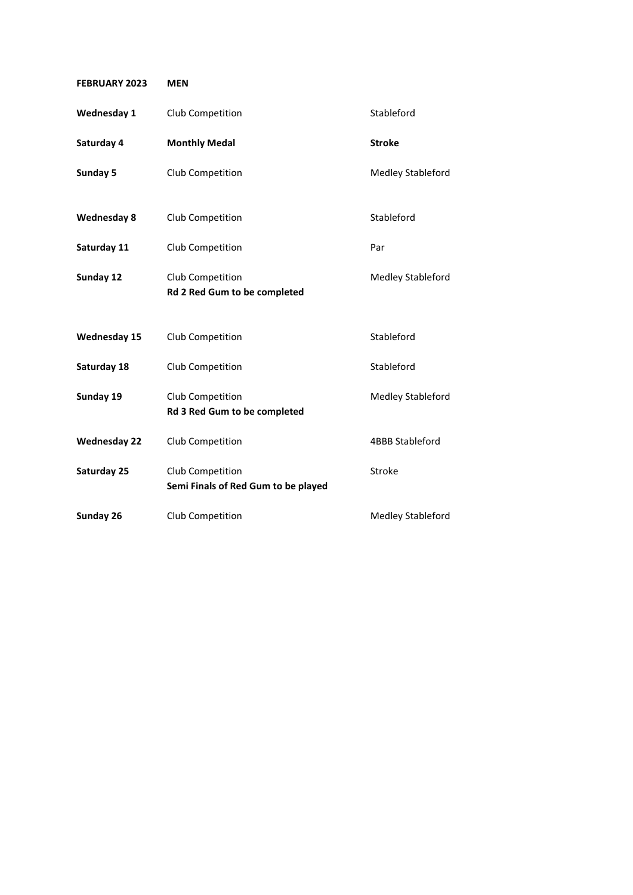| <b>FEBRUARY 2023</b> | <b>MEN</b>                                              |                          |
|----------------------|---------------------------------------------------------|--------------------------|
| <b>Wednesday 1</b>   | Club Competition                                        | Stableford               |
| Saturday 4           | <b>Monthly Medal</b>                                    | <b>Stroke</b>            |
| Sunday 5             | Club Competition                                        | <b>Medley Stableford</b> |
| <b>Wednesday 8</b>   | Club Competition                                        | Stableford               |
| Saturday 11          | Club Competition                                        | Par                      |
| Sunday 12            | Club Competition<br>Rd 2 Red Gum to be completed        | <b>Medley Stableford</b> |
| <b>Wednesday 15</b>  | Club Competition                                        | Stableford               |
| Saturday 18          | Club Competition                                        | Stableford               |
| Sunday 19            | Club Competition<br>Rd 3 Red Gum to be completed        | <b>Medley Stableford</b> |
| <b>Wednesday 22</b>  | Club Competition                                        | 4BBB Stableford          |
| Saturday 25          | Club Competition<br>Semi Finals of Red Gum to be played | <b>Stroke</b>            |
| Sunday 26            | Club Competition                                        | Medley Stableford        |